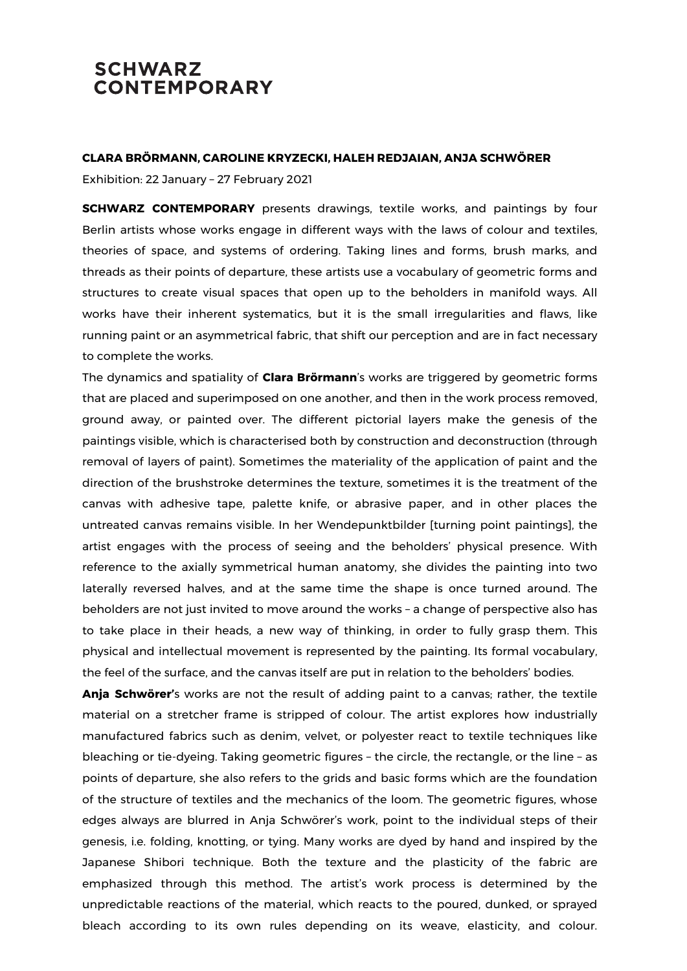## **SCHWARZ CONTEMPORARY**

## **CLARA BRÖRMANN, CAROLINE KRYZECKI, HALEH REDJAIAN, ANJA SCHWÖRER**

Exhibition: 22 January – 27 February 2021

**SCHWARZ CONTEMPORARY** presents drawings, textile works, and paintings by four Berlin artists whose works engage in different ways with the laws of colour and textiles, theories of space, and systems of ordering. Taking lines and forms, brush marks, and threads as their points of departure, these artists use a vocabulary of geometric forms and structures to create visual spaces that open up to the beholders in manifold ways. All works have their inherent systematics, but it is the small irregularities and flaws, like running paint or an asymmetrical fabric, that shift our perception and are in fact necessary to complete the works.

The dynamics and spatiality of **Clara Brörmann**'s works are triggered by geometric forms that are placed and superimposed on one another, and then in the work process removed, ground away, or painted over. The different pictorial layers make the genesis of the paintings visible, which is characterised both by construction and deconstruction (through removal of layers of paint). Sometimes the materiality of the application of paint and the direction of the brushstroke determines the texture, sometimes it is the treatment of the canvas with adhesive tape, palette knife, or abrasive paper, and in other places the untreated canvas remains visible. In her Wendepunktbilder [turning point paintings], the artist engages with the process of seeing and the beholders' physical presence. With reference to the axially symmetrical human anatomy, she divides the painting into two laterally reversed halves, and at the same time the shape is once turned around. The beholders are not just invited to move around the works – a change of perspective also has to take place in their heads, a new way of thinking, in order to fully grasp them. This physical and intellectual movement is represented by the painting. Its formal vocabulary, the feel of the surface, and the canvas itself are put in relation to the beholders' bodies.

**Anja Schwörer'**s works are not the result of adding paint to a canvas; rather, the textile material on a stretcher frame is stripped of colour. The artist explores how industrially manufactured fabrics such as denim, velvet, or polyester react to textile techniques like bleaching or tie-dyeing. Taking geometric figures – the circle, the rectangle, or the line – as points of departure, she also refers to the grids and basic forms which are the foundation of the structure of textiles and the mechanics of the loom. The geometric figures, whose edges always are blurred in Anja Schwörer's work, point to the individual steps of their genesis, i.e. folding, knotting, or tying. Many works are dyed by hand and inspired by the Japanese Shibori technique. Both the texture and the plasticity of the fabric are emphasized through this method. The artist's work process is determined by the unpredictable reactions of the material, which reacts to the poured, dunked, or sprayed bleach according to its own rules depending on its weave, elasticity, and colour.